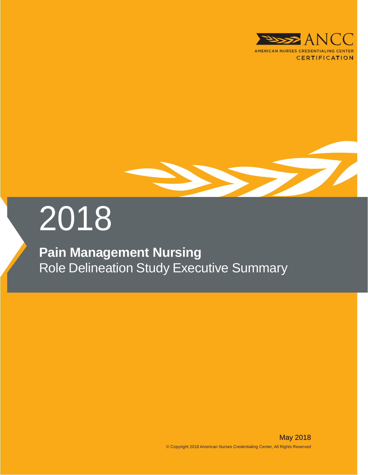



# 2018

# **Pain Management Nursing** Role Delineation Study Executive Summary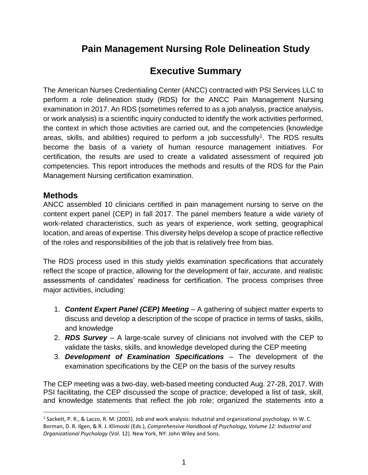## **Pain Management Nursing Role Delineation Study**

### **Executive Summary**

The American Nurses Credentialing Center (ANCC) contracted with PSI Services LLC to perform a role delineation study (RDS) for the ANCC Pain Management Nursing examination in 2017. An RDS (sometimes referred to as a job analysis, practice analysis, or work analysis) is a scientific inquiry conducted to identify the work activities performed, the context in which those activities are carried out, and the competencies (knowledge areas, skills, and abilities) required to perform a job successfully<sup>1</sup>. The RDS results become the basis of a variety of human resource management initiatives. For certification, the results are used to create a validated assessment of required job competencies. This report introduces the methods and results of the RDS for the Pain Management Nursing certification examination.

#### **Methods**

 $\overline{a}$ 

ANCC assembled 10 clinicians certified in pain management nursing to serve on the content expert panel (CEP) in fall 2017. The panel members feature a wide variety of work-related characteristics, such as years of experience, work setting, geographical location, and areas of expertise. This diversity helps develop a scope of practice reflective of the roles and responsibilities of the job that is relatively free from bias.

The RDS process used in this study yields examination specifications that accurately reflect the scope of practice, allowing for the development of fair, accurate, and realistic assessments of candidates' readiness for certification. The process comprises three major activities, including:

- 1. *Content Expert Panel (CEP) Meeting* A gathering of subject matter experts to discuss and develop a description of the scope of practice in terms of tasks, skills, and knowledge
- 2. *RDS Survey* A large-scale survey of clinicians not involved with the CEP to validate the tasks, skills, and knowledge developed during the CEP meeting
- 3. *Development of Examination Specifications* The development of the examination specifications by the CEP on the basis of the survey results

The CEP meeting was a two-day, web-based meeting conducted Aug. 27-28, 2017. With PSI facilitating, the CEP discussed the scope of practice; developed a list of task, skill, and knowledge statements that reflect the job role; organized the statements into a

<sup>&</sup>lt;sup>1</sup> Sackett, P. R., & Laczo, R. M. (2003). Job and work analysis: Industrial and organizational psychology. In W. C. Borman, D. R. Ilgen, & R. J. Klimoski (Eds.), *Comprehensive Handbook of Psychology, Volume 12: Industrial and Organizational Psychology* (Vol. 12). New York, NY: John Wiley and Sons.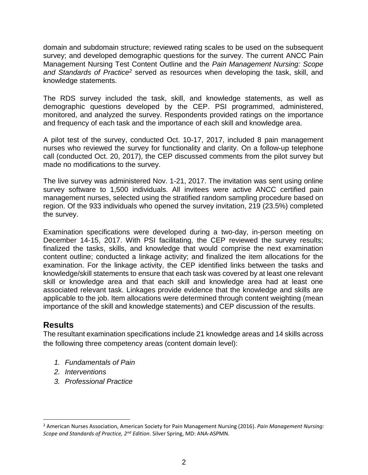domain and subdomain structure; reviewed rating scales to be used on the subsequent survey; and developed demographic questions for the survey. The current ANCC Pain Management Nursing Test Content Outline and the *Pain Management Nursing: Scope and Standards of Practice<sup>2</sup>* served as resources when developing the task, skill, and knowledge statements.

The RDS survey included the task, skill, and knowledge statements, as well as demographic questions developed by the CEP. PSI programmed, administered, monitored, and analyzed the survey. Respondents provided ratings on the importance and frequency of each task and the importance of each skill and knowledge area.

A pilot test of the survey, conducted Oct. 10-17, 2017, included 8 pain management nurses who reviewed the survey for functionality and clarity. On a follow-up telephone call (conducted Oct. 20, 2017), the CEP discussed comments from the pilot survey but made no modifications to the survey.

The live survey was administered Nov. 1-21, 2017. The invitation was sent using online survey software to 1,500 individuals. All invitees were active ANCC certified pain management nurses, selected using the stratified random sampling procedure based on region. Of the 933 individuals who opened the survey invitation, 219 (23.5%) completed the survey.

Examination specifications were developed during a two-day, in-person meeting on December 14-15, 2017. With PSI facilitating, the CEP reviewed the survey results; finalized the tasks, skills, and knowledge that would comprise the next examination content outline; conducted a linkage activity; and finalized the item allocations for the examination. For the linkage activity, the CEP identified links between the tasks and knowledge/skill statements to ensure that each task was covered by at least one relevant skill or knowledge area and that each skill and knowledge area had at least one associated relevant task. Linkages provide evidence that the knowledge and skills are applicable to the job. Item allocations were determined through content weighting (mean importance of the skill and knowledge statements) and CEP discussion of the results.

#### **Results**

 $\overline{a}$ 

The resultant examination specifications include 21 knowledge areas and 14 skills across the following three competency areas (content domain level):

- *1. Fundamentals of Pain*
- *2. Interventions*
- *3. Professional Practice*

<sup>2</sup> American Nurses Association, American Society for Pain Management Nursing (2016). *Pain Management Nursing: Scope and Standards of Practice, 2nd Edition*. Silver Spring, MD: ANA-ASPMN.